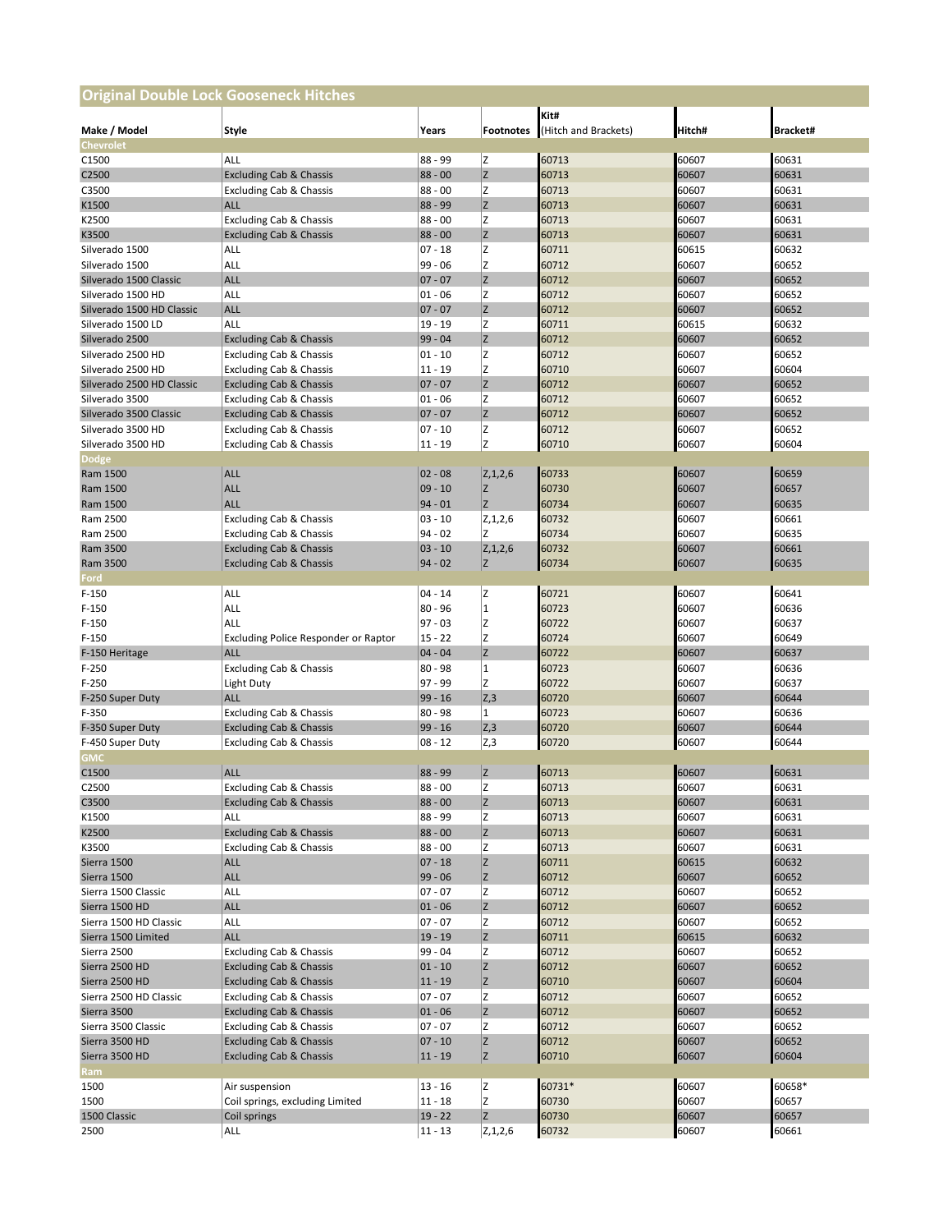| <b>Original Double Lock Gooseneck Hitches</b> |                                                               |                        |                  |                              |                |                 |  |  |  |  |
|-----------------------------------------------|---------------------------------------------------------------|------------------------|------------------|------------------------------|----------------|-----------------|--|--|--|--|
| Make / Model                                  | Style                                                         | Years                  | <b>Footnotes</b> | Kit#<br>(Hitch and Brackets) | Hitch#         | <b>Bracket#</b> |  |  |  |  |
| Chevrolet                                     |                                                               |                        |                  |                              |                |                 |  |  |  |  |
| C <sub>1500</sub><br>C <sub>2500</sub>        | ALL<br><b>Excluding Cab &amp; Chassis</b>                     | $88 - 99$<br>$88 - 00$ | z<br>z           | 60713<br>60713               | 60607<br>60607 | 60631<br>60631  |  |  |  |  |
| C3500                                         | <b>Excluding Cab &amp; Chassis</b>                            | $88 - 00$              | z                | 60713                        | 60607          | 60631           |  |  |  |  |
| K1500                                         | <b>ALL</b>                                                    | $88 - 99$              | Z                | 60713                        | 60607          | 60631           |  |  |  |  |
| K2500                                         | <b>Excluding Cab &amp; Chassis</b>                            | $88 - 00$              | Z                | 60713                        | 60607          | 60631           |  |  |  |  |
| K3500                                         | <b>Excluding Cab &amp; Chassis</b>                            | $88 - 00$              | z                | 60713                        | 60607          | 60631           |  |  |  |  |
| Silverado 1500                                | ALL                                                           | $07 - 18$              | Ιz               | 60711                        | 60615          | 60632           |  |  |  |  |
| Silverado 1500                                | ALL                                                           | $99 - 06$              | z                | 60712                        | 60607          | 60652           |  |  |  |  |
| Silverado 1500 Classic                        | <b>ALL</b>                                                    | $07 - 07$              | z                | 60712                        | 60607          | 60652           |  |  |  |  |
| Silverado 1500 HD                             | ALL                                                           | $01 - 06$              | z                | 60712                        | 60607          | 60652           |  |  |  |  |
| Silverado 1500 HD Classic                     | <b>ALL</b>                                                    | $07 - 07$              | Z                | 60712                        | 60607          | 60652           |  |  |  |  |
| Silverado 1500 LD                             | ALL                                                           | $19 - 19$              | z                | 60711                        | 60615          | 60632           |  |  |  |  |
| Silverado 2500                                | <b>Excluding Cab &amp; Chassis</b>                            | 99 - 04                | z                | 60712                        | 60607          | 60652           |  |  |  |  |
| Silverado 2500 HD                             | <b>Excluding Cab &amp; Chassis</b>                            | 01 - 10                | z                | 60712                        | 60607          | 60652           |  |  |  |  |
| Silverado 2500 HD                             | <b>Excluding Cab &amp; Chassis</b>                            | $11 - 19$              | Z                | 60710                        | 60607          | 60604           |  |  |  |  |
| Silverado 2500 HD Classic                     | <b>Excluding Cab &amp; Chassis</b>                            | $07 - 07$              | z                | 60712                        | 60607          | 60652           |  |  |  |  |
| Silverado 3500                                | <b>Excluding Cab &amp; Chassis</b>                            | $01 - 06$              | z                | 60712                        | 60607          | 60652           |  |  |  |  |
| Silverado 3500 Classic                        | <b>Excluding Cab &amp; Chassis</b>                            | $07 - 07$              | z                | 60712                        | 60607          | 60652           |  |  |  |  |
| Silverado 3500 HD                             | <b>Excluding Cab &amp; Chassis</b>                            | 07 - 10                | z                | 60712                        | 60607          | 60652           |  |  |  |  |
| Silverado 3500 HD                             | <b>Excluding Cab &amp; Chassis</b>                            | $11 - 19$              | Z                | 60710                        | 60607          | 60604           |  |  |  |  |
| <b>Dodge</b>                                  |                                                               |                        |                  |                              |                |                 |  |  |  |  |
| Ram 1500                                      | <b>ALL</b>                                                    | $02 - 08$              | Z, 1, 2, 6       | 60733                        | 60607          | 60659           |  |  |  |  |
| Ram 1500                                      | <b>ALL</b>                                                    | $09 - 10$              | Z                | 60730                        | 60607          | 60657           |  |  |  |  |
| Ram 1500                                      | <b>ALL</b>                                                    | $94 - 01$              | Z                | 60734                        | 60607          | 60635           |  |  |  |  |
| Ram 2500                                      | <b>Excluding Cab &amp; Chassis</b>                            | $03 - 10$<br>94 - 02   | Z, 1, 2, 6<br>z  | 60732                        | 60607<br>60607 | 60661           |  |  |  |  |
| Ram 2500<br>Ram 3500                          | <b>Excluding Cab &amp; Chassis</b>                            | $03 - 10$              | Z, 1, 2, 6       | 60734<br>60732               |                | 60635           |  |  |  |  |
| Ram 3500                                      | <b>Excluding Cab &amp; Chassis</b>                            | $94 - 02$              | Ιz               | 60734                        | 60607<br>60607 | 60661<br>60635  |  |  |  |  |
| Ford                                          | <b>Excluding Cab &amp; Chassis</b>                            |                        |                  |                              |                |                 |  |  |  |  |
| $F-150$                                       | ALL                                                           | $04 - 14$              | Ιz               | 60721                        | 60607          | 60641           |  |  |  |  |
| F-150                                         | ALL                                                           | $80 - 96$              | 1                | 60723                        | 60607          | 60636           |  |  |  |  |
| $F-150$                                       | ALL                                                           | 97 - 03                | z                | 60722                        | 60607          | 60637           |  |  |  |  |
| $F-150$                                       | Excluding Police Responder or Raptor                          | $15 - 22$              | z                | 60724                        | 60607          | 60649           |  |  |  |  |
| F-150 Heritage                                | <b>ALL</b>                                                    | $04 - 04$              | z                | 60722                        | 60607          | 60637           |  |  |  |  |
| $F-250$                                       | <b>Excluding Cab &amp; Chassis</b>                            | $80 - 98$              | $\overline{1}$   | 60723                        | 60607          | 60636           |  |  |  |  |
| $F-250$                                       | Light Duty                                                    | 97 - 99                | Ιz               | 60722                        | 60607          | 60637           |  |  |  |  |
| F-250 Super Duty                              | <b>ALL</b>                                                    | $99 - 16$              | Z,3              | 60720                        | 60607          | 60644           |  |  |  |  |
| F-350                                         | <b>Excluding Cab &amp; Chassis</b>                            | $80 - 98$              | $\mathbf{1}$     | 60723                        | 60607          | 60636           |  |  |  |  |
| F-350 Super Duty                              | <b>Excluding Cab &amp; Chassis</b>                            | $99 - 16$              | Z,3              | 60720                        | 60607          | 60644           |  |  |  |  |
| F-450 Super Duty                              | <b>Excluding Cab &amp; Chassis</b>                            | $08 - 12$              | Z,3              | 60720                        | 60607          | 60644           |  |  |  |  |
| <b>GMC</b>                                    |                                                               |                        |                  |                              |                |                 |  |  |  |  |
| C1500                                         | <b>ALL</b>                                                    | $88 - 99$              | Ιz               | 60713                        | 60607          | 60631           |  |  |  |  |
| C2500                                         | <b>Excluding Cab &amp; Chassis</b>                            | $88 - 00$              | z                | 60713                        | 60607          | 60631           |  |  |  |  |
| C3500                                         | <b>Excluding Cab &amp; Chassis</b>                            | $88 - 00$              | Z                | 60713                        | 60607          | 60631           |  |  |  |  |
| K1500                                         | ALL                                                           | 88 - 99                | z                | 60713                        | 60607          | 60631           |  |  |  |  |
| K2500                                         | <b>Excluding Cab &amp; Chassis</b>                            | $88 - 00$              | Z                | 60713                        | 60607          | 60631           |  |  |  |  |
| K3500                                         | Excluding Cab & Chassis                                       | $88 - 00$              | z                | 60713                        | 60607          | 60631           |  |  |  |  |
| Sierra 1500                                   | <b>ALL</b>                                                    | $07 - 18$              | z                | 60711                        | 60615          | 60632           |  |  |  |  |
| Sierra 1500                                   | <b>ALL</b>                                                    | $99 - 06$              | Z                | 60712                        | 60607          | 60652           |  |  |  |  |
| Sierra 1500 Classic                           | ALL                                                           | $07 - 07$              | z                | 60712                        | 60607          | 60652           |  |  |  |  |
| Sierra 1500 HD                                | <b>ALL</b>                                                    | $01 - 06$              | Z                | 60712                        | 60607          | 60652           |  |  |  |  |
| Sierra 1500 HD Classic<br>Sierra 1500 Limited | ALL                                                           | $07 - 07$              | z                | 60712                        | 60607          | 60652           |  |  |  |  |
|                                               | <b>ALL</b>                                                    | $19 - 19$              | Z<br>Z           | 60711                        | 60615<br>60607 | 60632<br>60652  |  |  |  |  |
| Sierra 2500<br>Sierra 2500 HD                 | <b>Excluding Cab &amp; Chassis</b>                            | 99 - 04<br>$01 - 10$   | Z                | 60712                        | 60607          | 60652           |  |  |  |  |
| Sierra 2500 HD                                | <b>Excluding Cab &amp; Chassis</b>                            |                        |                  | 60712                        |                |                 |  |  |  |  |
| Sierra 2500 HD Classic                        | <b>Excluding Cab &amp; Chassis</b><br>Excluding Cab & Chassis | $11 - 19$<br>$07 - 07$ | Z<br>z           | 60710<br>60712               | 60607<br>60607 | 60604<br>60652  |  |  |  |  |
| Sierra 3500                                   | <b>Excluding Cab &amp; Chassis</b>                            | $01 - 06$              | Z                | 60712                        | 60607          | 60652           |  |  |  |  |
| Sierra 3500 Classic                           | Excluding Cab & Chassis                                       | 07 - 07                | Z                | 60712                        | 60607          | 60652           |  |  |  |  |
| Sierra 3500 HD                                | <b>Excluding Cab &amp; Chassis</b>                            | $07 - 10$              | Z                | 60712                        | 60607          | 60652           |  |  |  |  |
| Sierra 3500 HD                                | <b>Excluding Cab &amp; Chassis</b>                            | $11 - 19$              | z                | 60710                        | 60607          | 60604           |  |  |  |  |
| <b>Ram</b>                                    |                                                               |                        |                  |                              |                |                 |  |  |  |  |
| 1500                                          | Air suspension                                                | $13 - 16$              | z                | 60731*                       | 60607          | 60658*          |  |  |  |  |
| 1500                                          | Coil springs, excluding Limited                               | $11 - 18$              | z                | 60730                        | 60607          | 60657           |  |  |  |  |
| 1500 Classic                                  | Coil springs                                                  | $19 - 22$              | Z                | 60730                        | 60607          | 60657           |  |  |  |  |
| 2500                                          | ALL                                                           | 11 - 13                | Z, 1, 2, 6       | 60732                        | 60607          | 60661           |  |  |  |  |